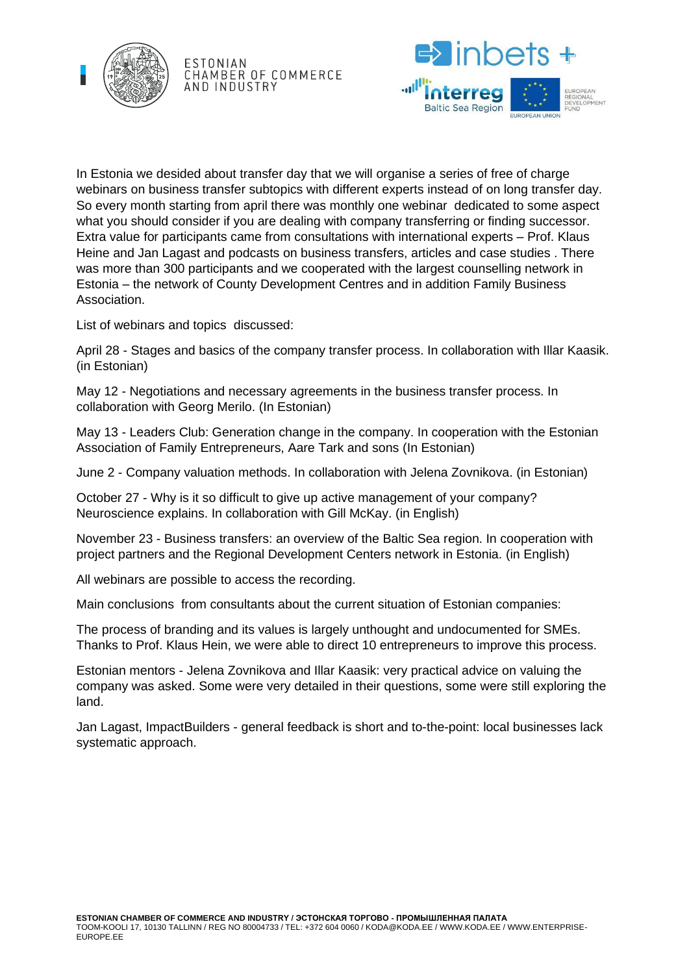

ESTONIAN CHAMBER OF COMMERCE AND INDUSTRY



In Estonia we desided about transfer day that we will organise a series of free of charge webinars on business transfer subtopics with different experts instead of on long transfer day. So every month starting from april there was monthly one webinar dedicated to some aspect what you should consider if you are dealing with company transferring or finding successor. Extra value for participants came from consultations with international experts – Prof. Klaus Heine and Jan Lagast and podcasts on business transfers, articles and case studies . There was more than 300 participants and we cooperated with the largest counselling network in Estonia – the network of County Development Centres and in addition Family Business Association.

List of webinars and topics discussed:

April 28 - Stages and basics of the company transfer process. In collaboration with Illar Kaasik. (in Estonian)

May 12 - Negotiations and necessary agreements in the business transfer process. In collaboration with Georg Merilo. (In Estonian)

May 13 - Leaders Club: Generation change in the company. In cooperation with the Estonian Association of Family Entrepreneurs, Aare Tark and sons (In Estonian)

June 2 - Company valuation methods. In collaboration with Jelena Zovnikova. (in Estonian)

October 27 - Why is it so difficult to give up active management of your company? Neuroscience explains. In collaboration with Gill McKay. (in English)

November 23 - Business transfers: an overview of the Baltic Sea region. In cooperation with project partners and the Regional Development Centers network in Estonia. (in English)

All webinars are possible to access the recording.

Main conclusions from consultants about the current situation of Estonian companies:

The process of branding and its values is largely unthought and undocumented for SMEs. Thanks to Prof. Klaus Hein, we were able to direct 10 entrepreneurs to improve this process.

Estonian mentors - Jelena Zovnikova and Illar Kaasik: very practical advice on valuing the company was asked. Some were very detailed in their questions, some were still exploring the land.

Jan Lagast, ImpactBuilders - general feedback is short and to-the-point: local businesses lack systematic approach.